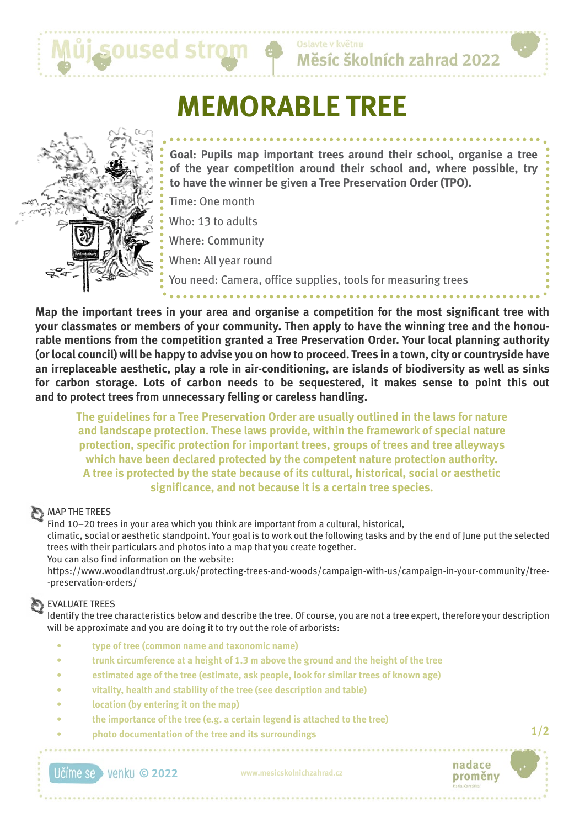

Měsíc školních zahrad 2022

# **MEMORABLE TREE**



**Goal: Pupils map important trees around their school, organise a tree of the year competition around their school and, where possible, try to have the winner be given a Tree Preservation Order (TPO).**

Time: One month

Who: 13 to adults

Where: Community

When: All year round

You need: Camera, office supplies, tools for measuring trees

**Map the important trees in your area and organise a competition for the most significant tree with your classmates or members of your community. Then apply to have the winning tree and the honourable mentions from the competition granted a Tree Preservation Order. Your local planning authority (or local council) will be happy to advise you on how to proceed. Trees in a town, city or countryside have an irreplaceable aesthetic, play a role in air-conditioning, are islands of biodiversity as well as sinks for carbon storage. Lots of carbon needs to be sequestered, it makes sense to point this out and to protect trees from unnecessary felling or careless handling.**

**The guidelines for a Tree Preservation Order are usually outlined in the laws for nature and landscape protection. These laws provide, within the framework of special nature protection, specific protection for important trees, groups of trees and tree alleyways which have been declared protected by the competent nature protection authority. A tree is protected by the state because of its cultural, historical, social or aesthetic significance, and not because it is a certain tree species.**

## **MAP THE TREES**

Find 10–20 trees in your area which you think are important from a cultural, historical, climatic, social or aesthetic standpoint. Your goal is to work out the following tasks and by the end of June put the selected trees with their particulars and photos into a map that you create together. You can also find information on the website:

https://www.woodlandtrust.org.uk/protecting-trees-and-woods/campaign-with-us/campaign-in-your-community/tree- -preservation-orders/

## EVALUATE TREES

Identify the tree characteristics below and describe the tree. Of course, you are not a tree expert, therefore your description will be approximate and you are doing it to try out the role of arborists:

- **• type of tree (common name and taxonomic name)**
- **• trunk circumference at a height of 1.3 m above the ground and the height of the tree**
- **• estimated age of the tree (estimate, ask people, look for similar trees of known age)**
- **• vitality, health and stability of the tree (see description and table)**
- **location** (by entering it on the map)
- **• the importance of the tree (e.g. a certain legend is attached to the tree)**
- **• photo documentation of the tree and its surroundings**

**© 2022 www.mesicskolnichzahrad.cz**



**1/2**